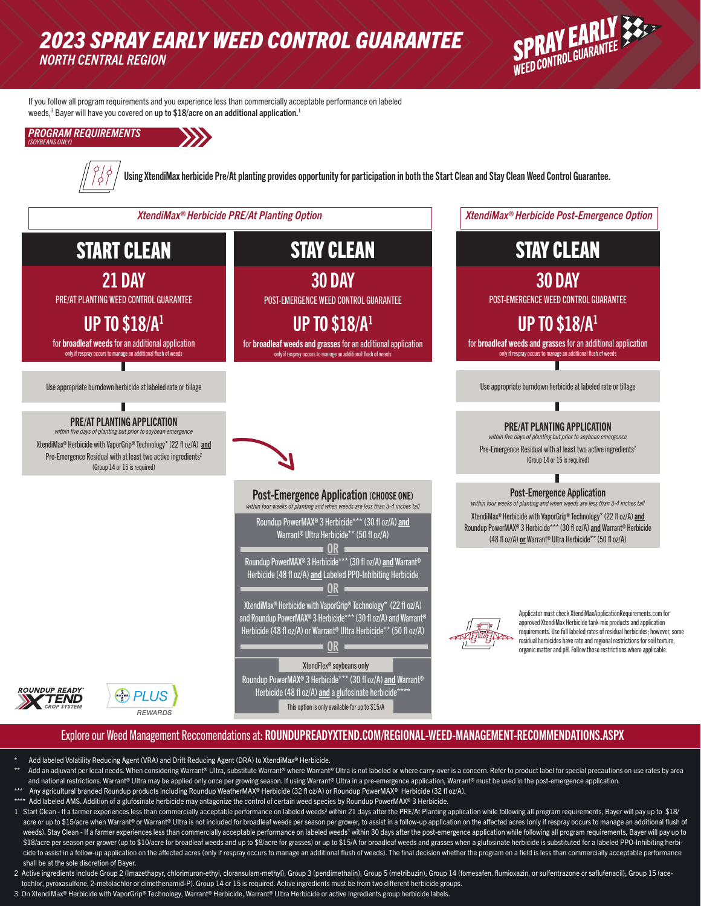## *2023 SPRAY EARLY WEED CONTROL GUARANTEE NORTH CENTRAL REGION*



STAY CLEAN

30 DAY POST-EMERGENCE WEED CONTROL GUARANTEE

UP TO \$18/A1 for broadleaf weeds and grasses for an additional application

Use appropriate burndown herbicide at labeled rate or tillage

PRE/AT PLANTING APPLICATION within five days of planting but prior to soybean er Pre-Emergence Residual with at least two active ingredients<sup>2</sup> (Group 14 or 15 is required)

Post-Emergence Application *within four weeks of planting and when weeds are less than 3-4 inches tall* XtendiMax® Herbicide with VaporGrip® Technology\* (22 fl oz/A) and Roundup PowerMAX® 3 Herbicide\*\*\* (30 fl oz/A) and Warrant® Herbicide (48 fl oz/A) or Warrant® Ultra Herbicide\*\* (50 fl oz/A)

tional flush of weeds

If you follow all program requirements and you experience less than commercially acceptable performance on labeled weeds, $^3$  Bayer will have you covered on up to \$18/acre on an additional application.<sup>1</sup>

*PROGRAM REQUIREMENTS (SOYBEANS ONLY)*



Using XtendiMax herbicide Pre/At planting provides opportunity for participation in both the Start Clean and Stay Clean Weed Control Guarantee.

*XtendiMax® Herbicide PRE/At Planting Option XtendiMax® Herbicide Post-Emergence Option*

# START CLEAN

21 DAY

PRE/AT PLANTING WEED CONTROL GUARANTEE

UP TO \$18/A1

for broadleaf weeds for an additional application only if respray occurs to manage an additional flush of weeds

Use appropriate burndown herbicide at labeled rate or tillage

#### PRE/AT PLANTING APPLICATION *within five days of planting but prior to soybean emergence*

XtendiMax® Herbicide with VaporGrip® Technology\* (22 fl oz/A) and Pre-Emergence Residual with at least two active ingredients<sup>2</sup> (Group 14 or 15 is required)

ROUNDUP READY

TEND

# 30 DAY

STAY CLEAN

POST-EMERGENCE WEED CONTROL GUARANTEE

## UP TO \$18/A1

for broadleaf weeds and grasses for an additional application only if respray occurs to manage an additional flush of weeds



#### **Post-Emergence Application (CHOOSE ONE)**

|                                                                                       | within four weeks of planting and when weeds are less than 3-4 inches tall                               |  |
|---------------------------------------------------------------------------------------|----------------------------------------------------------------------------------------------------------|--|
|                                                                                       | Roundup PowerMAX® 3 Herbicide*** (30 fl oz/A) and<br>Warrant <sup>®</sup> Ultra Herbicide** (50 fl oz/A) |  |
|                                                                                       |                                                                                                          |  |
|                                                                                       | Roundup PowerMAX® 3 Herbicide*** (30 fl oz/A) and Warrant®                                               |  |
|                                                                                       | Herbicide (48 fl oz/A) and Labeled PPO-Inhibiting Herbicide                                              |  |
|                                                                                       |                                                                                                          |  |
| XtendiMax <sup>®</sup> Herbicide with VaporGrip <sup>®</sup> Technology* (22 fl oz/A) |                                                                                                          |  |
|                                                                                       | and Roundup PowerMAX® 3 Herbicide*** (30 fl oz/A) and Warrant®                                           |  |
|                                                                                       | Herbicide (48 fl oz/A) or Warrant® Ultra Herbicide** (50 fl oz/A)                                        |  |
|                                                                                       |                                                                                                          |  |
|                                                                                       |                                                                                                          |  |
|                                                                                       | XtendFlex® soybeans only                                                                                 |  |
|                                                                                       |                                                                                                          |  |

Roundup PowerMAX® 3 Herbicide\*\*\* (30 fl oz/A) and Warrant® Herbicide (48 fl oz/A) and a glufosinate herbicide This option is only available for up to \$15/A



Applicator must check XtendiMaxApplicationRequirements.com for approved XtendiMax Herbicide tank-mix products and application requirements. Use full labeled rates of residual herbicides; however, some residual herbicides have rate and regional restrictions for soil texture, organic matter and pH. Follow those restrictions where applicable.

#### Explore our Weed Management Reccomendations at: ROUNDUPREADYXTEND.COM/REGIONAL-WEED-MANAGEMENT-RECOMMENDATIONS.ASPX

Add labeled Volatility Reducing Agent (VRA) and Drift Reducing Agent (DRA) to XtendiMax® Herbicide.

 $\binom{R}{n}$  PLUS

REWARDS

- Add an adjuvant per local needs. When considering Warrant® Ultra, substitute Warrant® where Warrant® Ultra is not labeled or where carry-over is a concern. Refer to product label for special precautions on use rates by are and national restrictions. Warrant® Ultra may be applied only once per growing season. If using Warrant® Ultra in a pre-emergence application, Warrant® must be used in the post-emergence application.
- Any agricultural branded Roundup products including Roundup WeatherMAX® Herbicide (32 fl oz/A) or Roundup PowerMAX® Herbicide (32 fl oz/A). Add labeled AMS. Addition of a glufosinate herbicide may antagonize the control of certain weed species by Roundup PowerMAX® 3 Herbicide.
- 1 Start Clean If a farmer experiences less than commercially acceptable performance on labeled weeds<sup>3</sup> within 21 days after the PRE/At Planting application while following all program requirements, Bayer will pay up to acre or up to \$15/acre when Warrant® or Warrant® Ultra is not included for broadleaf weeds per season per grower, to assist in a follow-up application on the affected acres (only if respray occurs to manage an additional f weeds). Stay Clean - If a farmer experiences less than commercially acceptable performance on labeled weeds<sup>3</sup> within 30 days after the post-emergence application while following all program requirements, Bayer will pay up \$18/acre per season per grower (up to \$10/acre for broadleaf weeds and up to \$8/acre for grasses) or up to \$15/A for broadleaf weeds and grasses when a glufosinate herbicide is substituted for a labeled PPO-Inhibiting herb cide to assist in a follow-up application on the affected acres (only if respray occurs to manage an additional flush of weeds). The final decision whether the program on a field is less than commercially acceptable perfor shall be at the sole discretion of Bayer.
- 2 Active ingredients include Group 2 (Imazethapyr, chlorimuron-ethyl, cloransulam-methyl); Group 3 (pendimethalin); Group 5 (metribuzin); Group 14 (fomesafen. flumioxazin, or sulfentrazone or saflufenacil); Group 15 (acetochlor, pyroxasulfone, 2-metolachlor or dimethenamid-P). Group 14 or 15 is required. Active ingredients must be from two different herbicide groups.
- 3 On XtendiMax® Herbicide with VaporGrip® Technology, Warrant® Herbicide, Warrant® Ultra Herbicide or active ingredients group herbicide labels